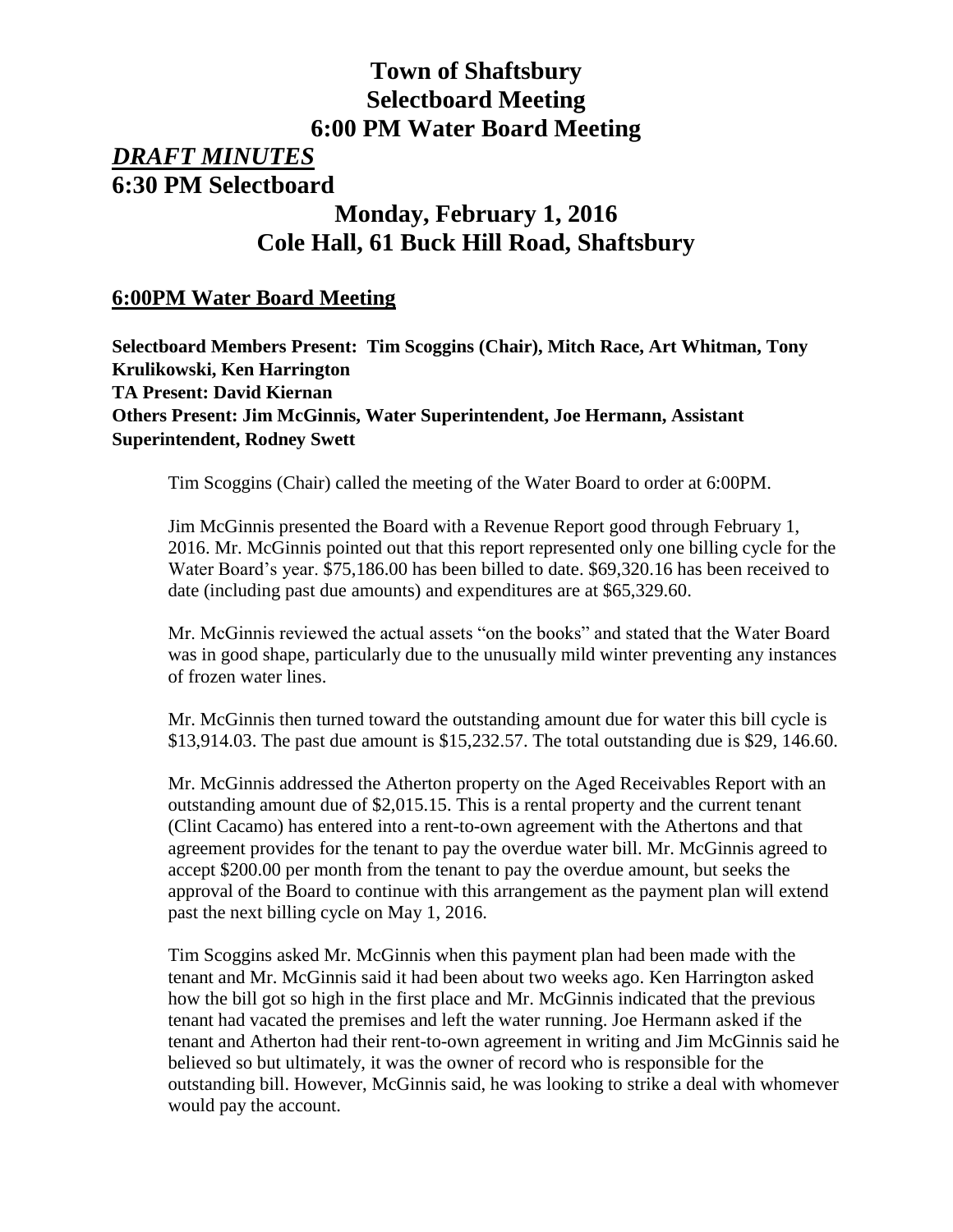# **Town of Shaftsbury Selectboard Meeting 6:00 PM Water Board Meeting**

# *DRAFT MINUTES* **6:30 PM Selectboard**

# **Monday, February 1, 2016 Cole Hall, 61 Buck Hill Road, Shaftsbury**

## **6:00PM Water Board Meeting**

**Selectboard Members Present: Tim Scoggins (Chair), Mitch Race, Art Whitman, Tony Krulikowski, Ken Harrington TA Present: David Kiernan Others Present: Jim McGinnis, Water Superintendent, Joe Hermann, Assistant Superintendent, Rodney Swett**

Tim Scoggins (Chair) called the meeting of the Water Board to order at 6:00PM.

Jim McGinnis presented the Board with a Revenue Report good through February 1, 2016. Mr. McGinnis pointed out that this report represented only one billing cycle for the Water Board's year. \$75,186.00 has been billed to date. \$69,320.16 has been received to date (including past due amounts) and expenditures are at \$65,329.60.

Mr. McGinnis reviewed the actual assets "on the books" and stated that the Water Board was in good shape, particularly due to the unusually mild winter preventing any instances of frozen water lines.

Mr. McGinnis then turned toward the outstanding amount due for water this bill cycle is \$13,914.03. The past due amount is \$15,232.57. The total outstanding due is \$29, 146.60.

Mr. McGinnis addressed the Atherton property on the Aged Receivables Report with an outstanding amount due of \$2,015.15. This is a rental property and the current tenant (Clint Cacamo) has entered into a rent-to-own agreement with the Athertons and that agreement provides for the tenant to pay the overdue water bill. Mr. McGinnis agreed to accept \$200.00 per month from the tenant to pay the overdue amount, but seeks the approval of the Board to continue with this arrangement as the payment plan will extend past the next billing cycle on May 1, 2016.

Tim Scoggins asked Mr. McGinnis when this payment plan had been made with the tenant and Mr. McGinnis said it had been about two weeks ago. Ken Harrington asked how the bill got so high in the first place and Mr. McGinnis indicated that the previous tenant had vacated the premises and left the water running. Joe Hermann asked if the tenant and Atherton had their rent-to-own agreement in writing and Jim McGinnis said he believed so but ultimately, it was the owner of record who is responsible for the outstanding bill. However, McGinnis said, he was looking to strike a deal with whomever would pay the account.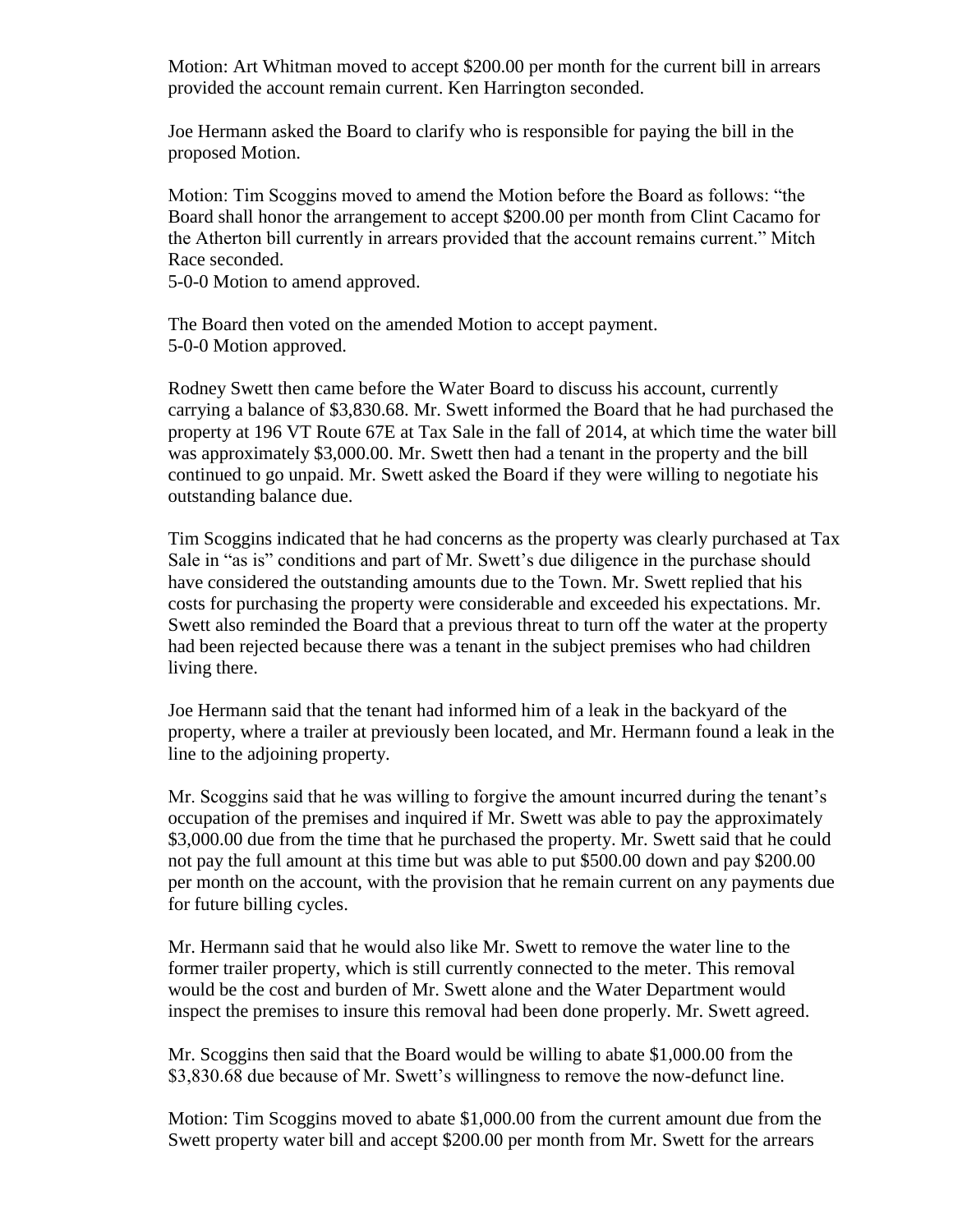Motion: Art Whitman moved to accept \$200.00 per month for the current bill in arrears provided the account remain current. Ken Harrington seconded.

Joe Hermann asked the Board to clarify who is responsible for paying the bill in the proposed Motion.

Motion: Tim Scoggins moved to amend the Motion before the Board as follows: "the Board shall honor the arrangement to accept \$200.00 per month from Clint Cacamo for the Atherton bill currently in arrears provided that the account remains current." Mitch Race seconded.

5-0-0 Motion to amend approved.

The Board then voted on the amended Motion to accept payment. 5-0-0 Motion approved.

Rodney Swett then came before the Water Board to discuss his account, currently carrying a balance of \$3,830.68. Mr. Swett informed the Board that he had purchased the property at 196 VT Route 67E at Tax Sale in the fall of 2014, at which time the water bill was approximately \$3,000.00. Mr. Swett then had a tenant in the property and the bill continued to go unpaid. Mr. Swett asked the Board if they were willing to negotiate his outstanding balance due.

Tim Scoggins indicated that he had concerns as the property was clearly purchased at Tax Sale in "as is" conditions and part of Mr. Swett's due diligence in the purchase should have considered the outstanding amounts due to the Town. Mr. Swett replied that his costs for purchasing the property were considerable and exceeded his expectations. Mr. Swett also reminded the Board that a previous threat to turn off the water at the property had been rejected because there was a tenant in the subject premises who had children living there.

Joe Hermann said that the tenant had informed him of a leak in the backyard of the property, where a trailer at previously been located, and Mr. Hermann found a leak in the line to the adjoining property.

Mr. Scoggins said that he was willing to forgive the amount incurred during the tenant's occupation of the premises and inquired if Mr. Swett was able to pay the approximately \$3,000.00 due from the time that he purchased the property. Mr. Swett said that he could not pay the full amount at this time but was able to put \$500.00 down and pay \$200.00 per month on the account, with the provision that he remain current on any payments due for future billing cycles.

Mr. Hermann said that he would also like Mr. Swett to remove the water line to the former trailer property, which is still currently connected to the meter. This removal would be the cost and burden of Mr. Swett alone and the Water Department would inspect the premises to insure this removal had been done properly. Mr. Swett agreed.

Mr. Scoggins then said that the Board would be willing to abate \$1,000.00 from the \$3,830.68 due because of Mr. Swett's willingness to remove the now-defunct line.

Motion: Tim Scoggins moved to abate \$1,000.00 from the current amount due from the Swett property water bill and accept \$200.00 per month from Mr. Swett for the arrears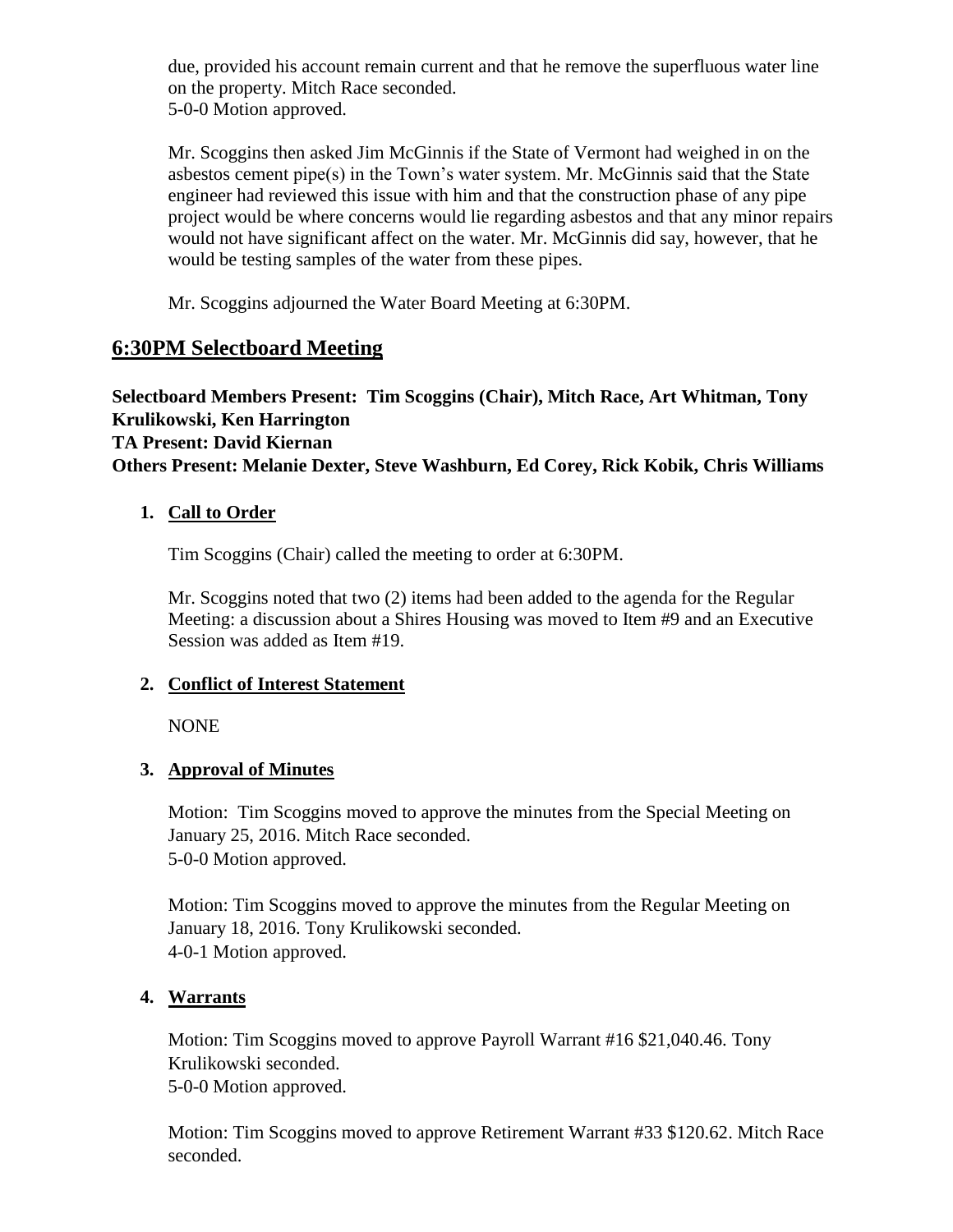due, provided his account remain current and that he remove the superfluous water line on the property. Mitch Race seconded. 5-0-0 Motion approved.

Mr. Scoggins then asked Jim McGinnis if the State of Vermont had weighed in on the asbestos cement pipe(s) in the Town's water system. Mr. McGinnis said that the State engineer had reviewed this issue with him and that the construction phase of any pipe project would be where concerns would lie regarding asbestos and that any minor repairs would not have significant affect on the water. Mr. McGinnis did say, however, that he would be testing samples of the water from these pipes.

Mr. Scoggins adjourned the Water Board Meeting at 6:30PM.

# **6:30PM Selectboard Meeting**

## **Selectboard Members Present: Tim Scoggins (Chair), Mitch Race, Art Whitman, Tony Krulikowski, Ken Harrington TA Present: David Kiernan Others Present: Melanie Dexter, Steve Washburn, Ed Corey, Rick Kobik, Chris Williams**

## **1. Call to Order**

Tim Scoggins (Chair) called the meeting to order at 6:30PM.

Mr. Scoggins noted that two (2) items had been added to the agenda for the Regular Meeting: a discussion about a Shires Housing was moved to Item #9 and an Executive Session was added as Item #19.

## **2. Conflict of Interest Statement**

NONE

## **3. Approval of Minutes**

Motion: Tim Scoggins moved to approve the minutes from the Special Meeting on January 25, 2016. Mitch Race seconded. 5-0-0 Motion approved.

Motion: Tim Scoggins moved to approve the minutes from the Regular Meeting on January 18, 2016. Tony Krulikowski seconded. 4-0-1 Motion approved.

## **4. Warrants**

Motion: Tim Scoggins moved to approve Payroll Warrant #16 \$21,040.46. Tony Krulikowski seconded. 5-0-0 Motion approved.

Motion: Tim Scoggins moved to approve Retirement Warrant #33 \$120.62. Mitch Race seconded.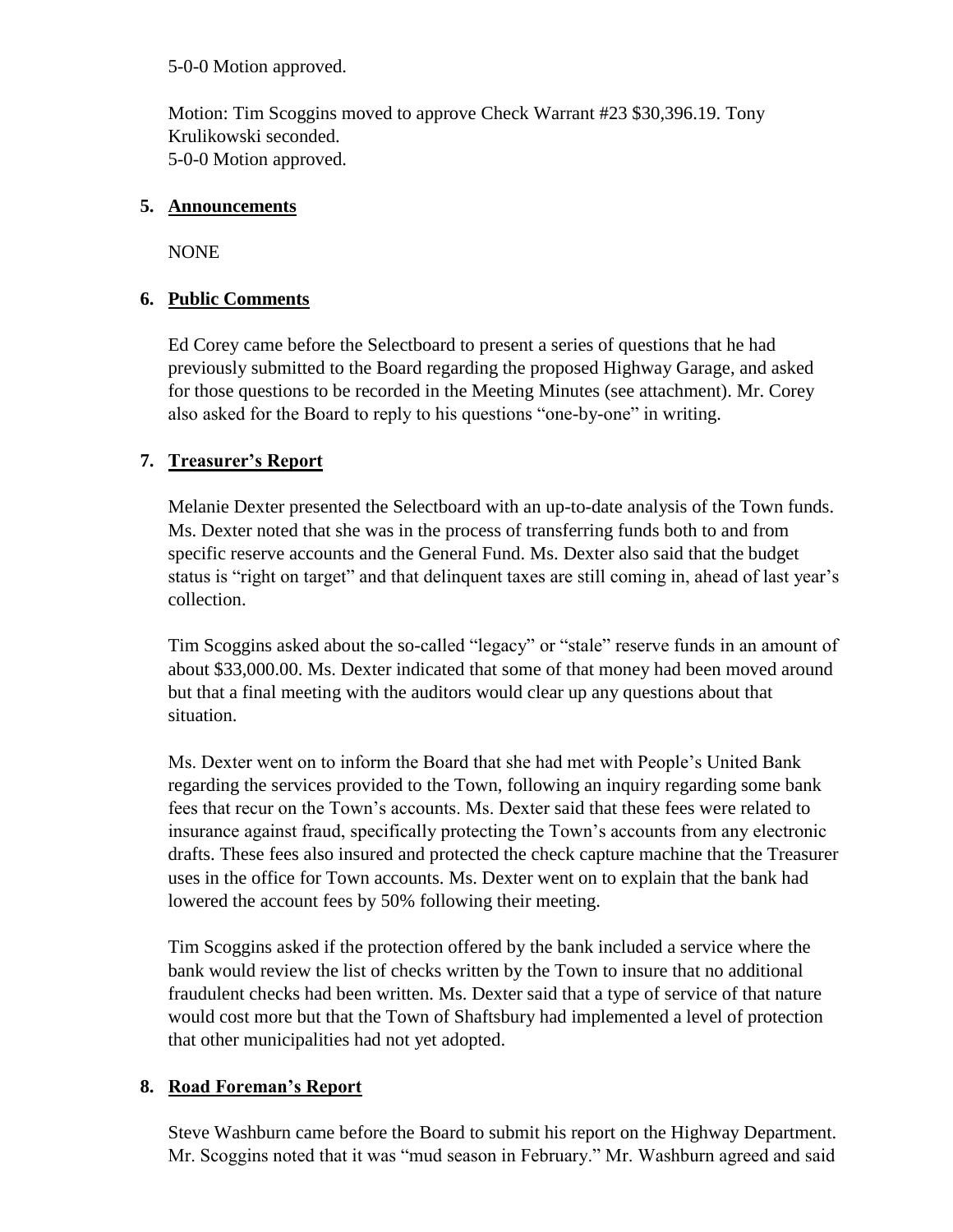5-0-0 Motion approved.

Motion: Tim Scoggins moved to approve Check Warrant #23 \$30,396.19. Tony Krulikowski seconded. 5-0-0 Motion approved.

#### **5. Announcements**

NONE

## **6. Public Comments**

Ed Corey came before the Selectboard to present a series of questions that he had previously submitted to the Board regarding the proposed Highway Garage, and asked for those questions to be recorded in the Meeting Minutes (see attachment). Mr. Corey also asked for the Board to reply to his questions "one-by-one" in writing.

## **7. Treasurer's Report**

Melanie Dexter presented the Selectboard with an up-to-date analysis of the Town funds. Ms. Dexter noted that she was in the process of transferring funds both to and from specific reserve accounts and the General Fund. Ms. Dexter also said that the budget status is "right on target" and that delinquent taxes are still coming in, ahead of last year's collection.

Tim Scoggins asked about the so-called "legacy" or "stale" reserve funds in an amount of about \$33,000.00. Ms. Dexter indicated that some of that money had been moved around but that a final meeting with the auditors would clear up any questions about that situation.

Ms. Dexter went on to inform the Board that she had met with People's United Bank regarding the services provided to the Town, following an inquiry regarding some bank fees that recur on the Town's accounts. Ms. Dexter said that these fees were related to insurance against fraud, specifically protecting the Town's accounts from any electronic drafts. These fees also insured and protected the check capture machine that the Treasurer uses in the office for Town accounts. Ms. Dexter went on to explain that the bank had lowered the account fees by 50% following their meeting.

Tim Scoggins asked if the protection offered by the bank included a service where the bank would review the list of checks written by the Town to insure that no additional fraudulent checks had been written. Ms. Dexter said that a type of service of that nature would cost more but that the Town of Shaftsbury had implemented a level of protection that other municipalities had not yet adopted.

## **8. Road Foreman's Report**

Steve Washburn came before the Board to submit his report on the Highway Department. Mr. Scoggins noted that it was "mud season in February." Mr. Washburn agreed and said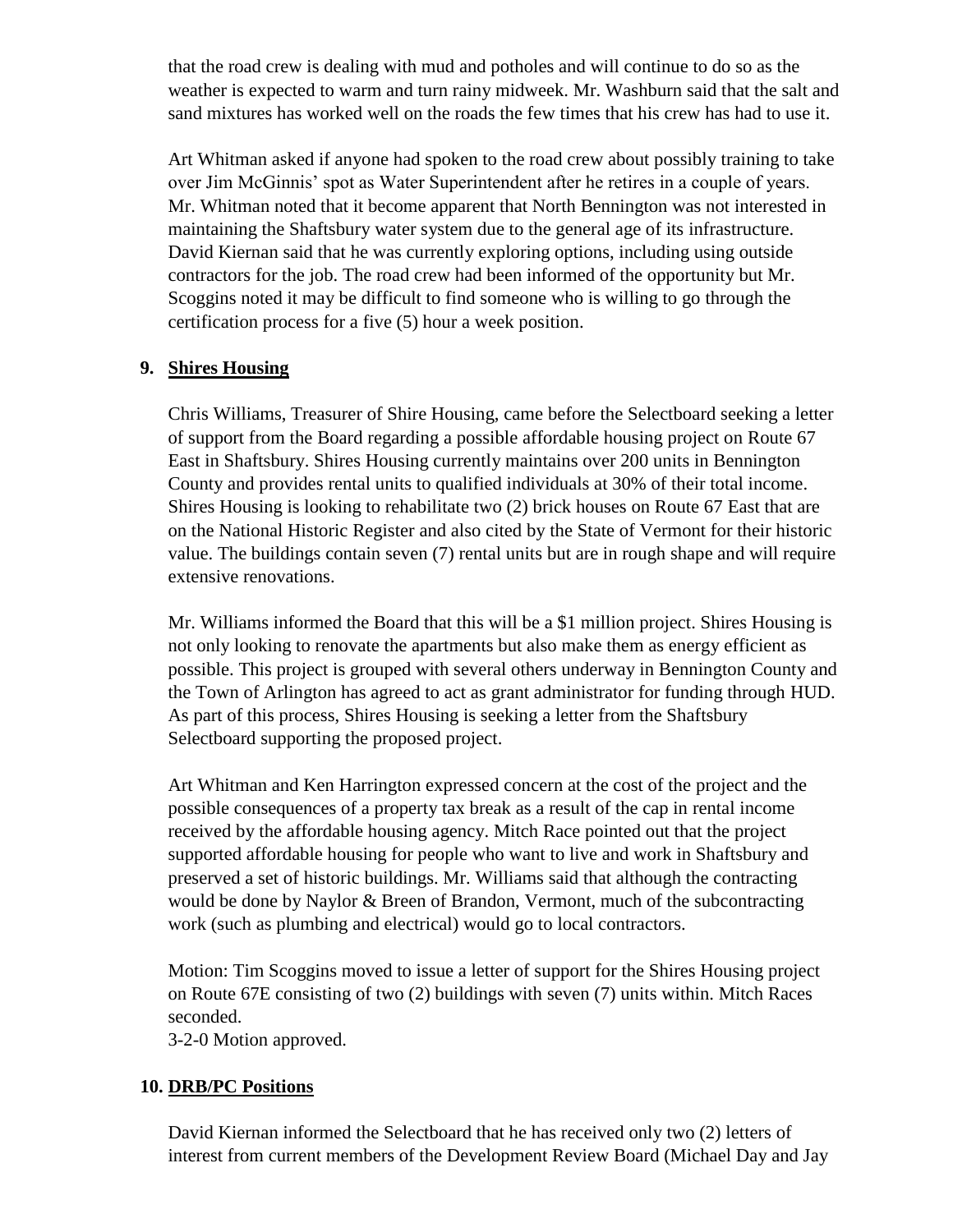that the road crew is dealing with mud and potholes and will continue to do so as the weather is expected to warm and turn rainy midweek. Mr. Washburn said that the salt and sand mixtures has worked well on the roads the few times that his crew has had to use it.

Art Whitman asked if anyone had spoken to the road crew about possibly training to take over Jim McGinnis' spot as Water Superintendent after he retires in a couple of years. Mr. Whitman noted that it become apparent that North Bennington was not interested in maintaining the Shaftsbury water system due to the general age of its infrastructure. David Kiernan said that he was currently exploring options, including using outside contractors for the job. The road crew had been informed of the opportunity but Mr. Scoggins noted it may be difficult to find someone who is willing to go through the certification process for a five (5) hour a week position.

#### **9. Shires Housing**

Chris Williams, Treasurer of Shire Housing, came before the Selectboard seeking a letter of support from the Board regarding a possible affordable housing project on Route 67 East in Shaftsbury. Shires Housing currently maintains over 200 units in Bennington County and provides rental units to qualified individuals at 30% of their total income. Shires Housing is looking to rehabilitate two (2) brick houses on Route 67 East that are on the National Historic Register and also cited by the State of Vermont for their historic value. The buildings contain seven (7) rental units but are in rough shape and will require extensive renovations.

Mr. Williams informed the Board that this will be a \$1 million project. Shires Housing is not only looking to renovate the apartments but also make them as energy efficient as possible. This project is grouped with several others underway in Bennington County and the Town of Arlington has agreed to act as grant administrator for funding through HUD. As part of this process, Shires Housing is seeking a letter from the Shaftsbury Selectboard supporting the proposed project.

Art Whitman and Ken Harrington expressed concern at the cost of the project and the possible consequences of a property tax break as a result of the cap in rental income received by the affordable housing agency. Mitch Race pointed out that the project supported affordable housing for people who want to live and work in Shaftsbury and preserved a set of historic buildings. Mr. Williams said that although the contracting would be done by Naylor & Breen of Brandon, Vermont, much of the subcontracting work (such as plumbing and electrical) would go to local contractors.

Motion: Tim Scoggins moved to issue a letter of support for the Shires Housing project on Route 67E consisting of two (2) buildings with seven (7) units within. Mitch Races seconded.

3-2-0 Motion approved.

#### **10. DRB/PC Positions**

David Kiernan informed the Selectboard that he has received only two (2) letters of interest from current members of the Development Review Board (Michael Day and Jay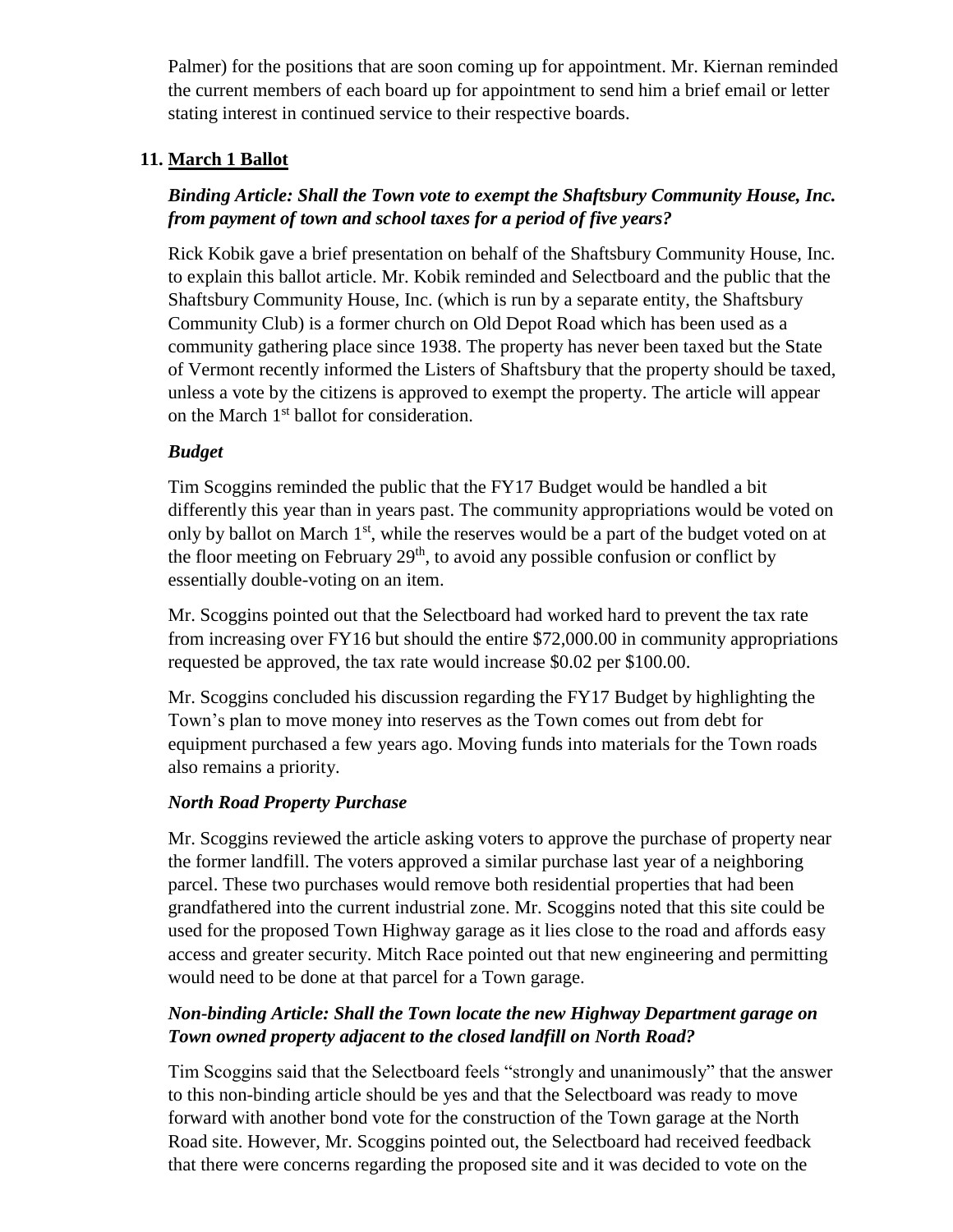Palmer) for the positions that are soon coming up for appointment. Mr. Kiernan reminded the current members of each board up for appointment to send him a brief email or letter stating interest in continued service to their respective boards.

## **11. March 1 Ballot**

## *Binding Article: Shall the Town vote to exempt the Shaftsbury Community House, Inc. from payment of town and school taxes for a period of five years?*

Rick Kobik gave a brief presentation on behalf of the Shaftsbury Community House, Inc. to explain this ballot article. Mr. Kobik reminded and Selectboard and the public that the Shaftsbury Community House, Inc. (which is run by a separate entity, the Shaftsbury Community Club) is a former church on Old Depot Road which has been used as a community gathering place since 1938. The property has never been taxed but the State of Vermont recently informed the Listers of Shaftsbury that the property should be taxed, unless a vote by the citizens is approved to exempt the property. The article will appear on the March 1<sup>st</sup> ballot for consideration.

## *Budget*

Tim Scoggins reminded the public that the FY17 Budget would be handled a bit differently this year than in years past. The community appropriations would be voted on only by ballot on March  $1<sup>st</sup>$ , while the reserves would be a part of the budget voted on at the floor meeting on February  $29<sup>th</sup>$ , to avoid any possible confusion or conflict by essentially double-voting on an item.

Mr. Scoggins pointed out that the Selectboard had worked hard to prevent the tax rate from increasing over FY16 but should the entire \$72,000.00 in community appropriations requested be approved, the tax rate would increase \$0.02 per \$100.00.

Mr. Scoggins concluded his discussion regarding the FY17 Budget by highlighting the Town's plan to move money into reserves as the Town comes out from debt for equipment purchased a few years ago. Moving funds into materials for the Town roads also remains a priority.

#### *North Road Property Purchase*

Mr. Scoggins reviewed the article asking voters to approve the purchase of property near the former landfill. The voters approved a similar purchase last year of a neighboring parcel. These two purchases would remove both residential properties that had been grandfathered into the current industrial zone. Mr. Scoggins noted that this site could be used for the proposed Town Highway garage as it lies close to the road and affords easy access and greater security. Mitch Race pointed out that new engineering and permitting would need to be done at that parcel for a Town garage.

#### *Non-binding Article: Shall the Town locate the new Highway Department garage on Town owned property adjacent to the closed landfill on North Road?*

Tim Scoggins said that the Selectboard feels "strongly and unanimously" that the answer to this non-binding article should be yes and that the Selectboard was ready to move forward with another bond vote for the construction of the Town garage at the North Road site. However, Mr. Scoggins pointed out, the Selectboard had received feedback that there were concerns regarding the proposed site and it was decided to vote on the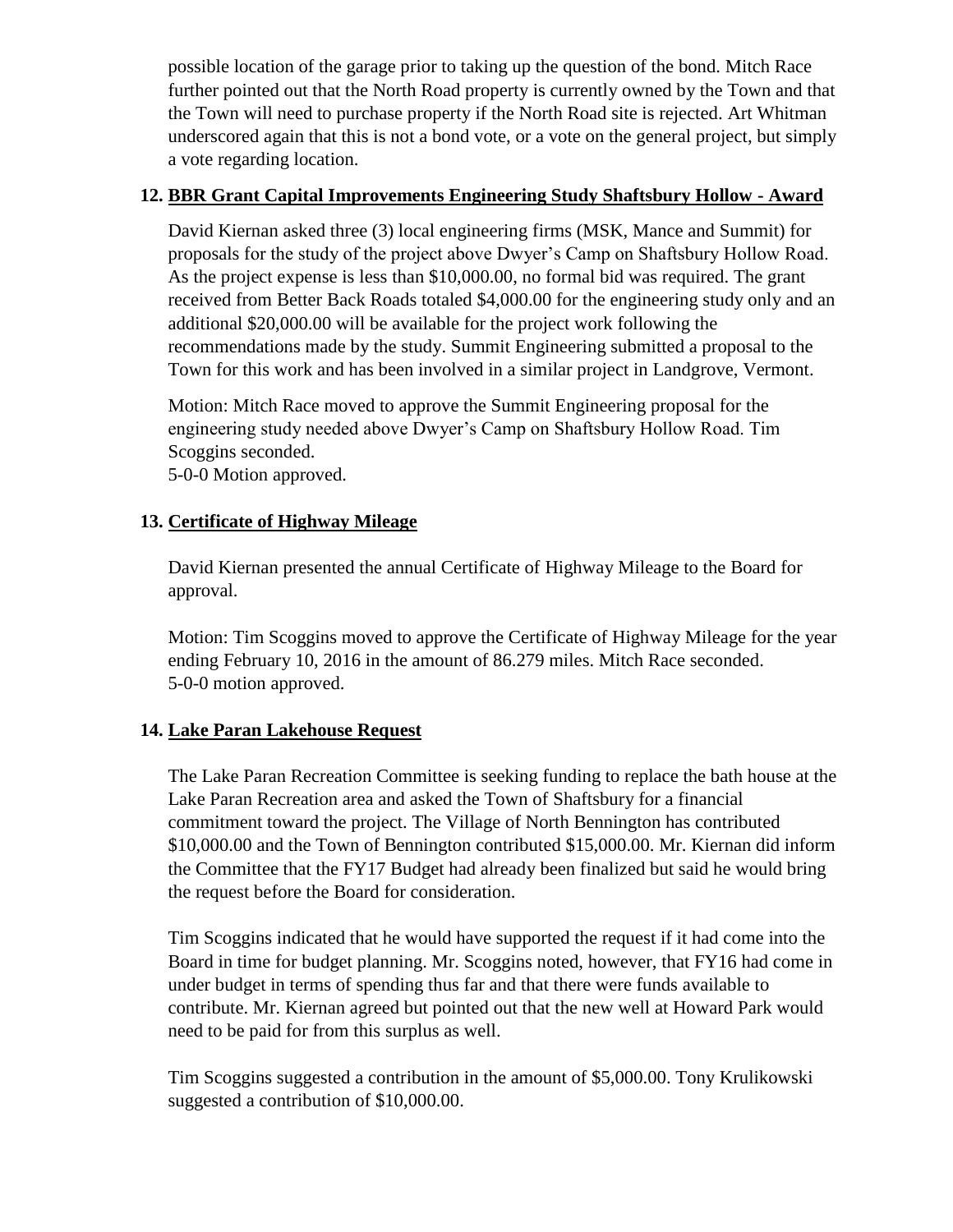possible location of the garage prior to taking up the question of the bond. Mitch Race further pointed out that the North Road property is currently owned by the Town and that the Town will need to purchase property if the North Road site is rejected. Art Whitman underscored again that this is not a bond vote, or a vote on the general project, but simply a vote regarding location.

#### **12. BBR Grant Capital Improvements Engineering Study Shaftsbury Hollow - Award**

David Kiernan asked three (3) local engineering firms (MSK, Mance and Summit) for proposals for the study of the project above Dwyer's Camp on Shaftsbury Hollow Road. As the project expense is less than \$10,000.00, no formal bid was required. The grant received from Better Back Roads totaled \$4,000.00 for the engineering study only and an additional \$20,000.00 will be available for the project work following the recommendations made by the study. Summit Engineering submitted a proposal to the Town for this work and has been involved in a similar project in Landgrove, Vermont.

Motion: Mitch Race moved to approve the Summit Engineering proposal for the engineering study needed above Dwyer's Camp on Shaftsbury Hollow Road. Tim Scoggins seconded.

5-0-0 Motion approved.

## **13. Certificate of Highway Mileage**

David Kiernan presented the annual Certificate of Highway Mileage to the Board for approval.

Motion: Tim Scoggins moved to approve the Certificate of Highway Mileage for the year ending February 10, 2016 in the amount of 86.279 miles. Mitch Race seconded. 5-0-0 motion approved.

## **14. Lake Paran Lakehouse Request**

The Lake Paran Recreation Committee is seeking funding to replace the bath house at the Lake Paran Recreation area and asked the Town of Shaftsbury for a financial commitment toward the project. The Village of North Bennington has contributed \$10,000.00 and the Town of Bennington contributed \$15,000.00. Mr. Kiernan did inform the Committee that the FY17 Budget had already been finalized but said he would bring the request before the Board for consideration.

Tim Scoggins indicated that he would have supported the request if it had come into the Board in time for budget planning. Mr. Scoggins noted, however, that FY16 had come in under budget in terms of spending thus far and that there were funds available to contribute. Mr. Kiernan agreed but pointed out that the new well at Howard Park would need to be paid for from this surplus as well.

Tim Scoggins suggested a contribution in the amount of \$5,000.00. Tony Krulikowski suggested a contribution of \$10,000.00.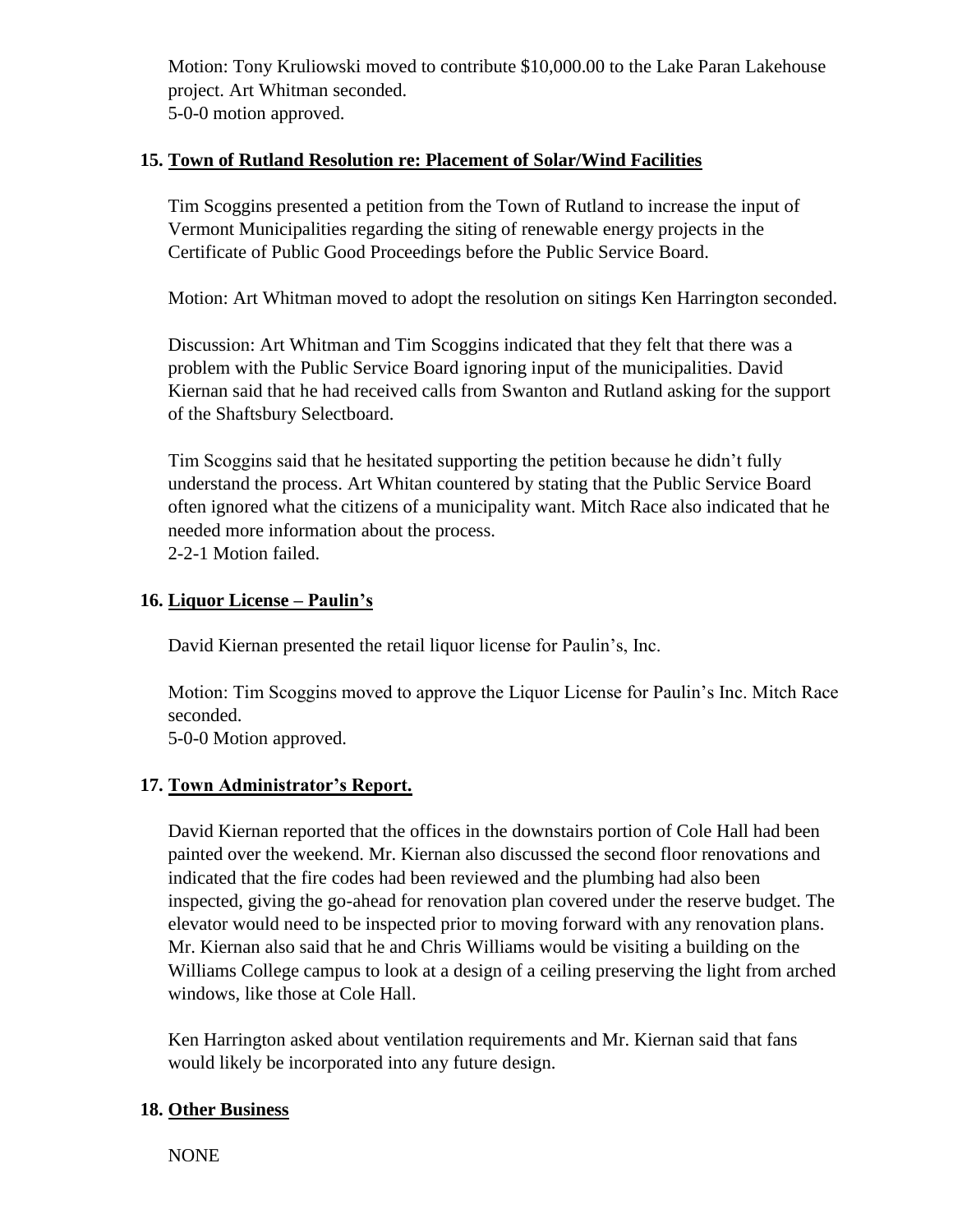Motion: Tony Kruliowski moved to contribute \$10,000.00 to the Lake Paran Lakehouse project. Art Whitman seconded. 5-0-0 motion approved.

#### **15. Town of Rutland Resolution re: Placement of Solar/Wind Facilities**

Tim Scoggins presented a petition from the Town of Rutland to increase the input of Vermont Municipalities regarding the siting of renewable energy projects in the Certificate of Public Good Proceedings before the Public Service Board.

Motion: Art Whitman moved to adopt the resolution on sitings Ken Harrington seconded.

Discussion: Art Whitman and Tim Scoggins indicated that they felt that there was a problem with the Public Service Board ignoring input of the municipalities. David Kiernan said that he had received calls from Swanton and Rutland asking for the support of the Shaftsbury Selectboard.

Tim Scoggins said that he hesitated supporting the petition because he didn't fully understand the process. Art Whitan countered by stating that the Public Service Board often ignored what the citizens of a municipality want. Mitch Race also indicated that he needed more information about the process. 2-2-1 Motion failed.

#### **16. Liquor License – Paulin's**

David Kiernan presented the retail liquor license for Paulin's, Inc.

Motion: Tim Scoggins moved to approve the Liquor License for Paulin's Inc. Mitch Race seconded.

5-0-0 Motion approved.

#### **17. Town Administrator's Report.**

David Kiernan reported that the offices in the downstairs portion of Cole Hall had been painted over the weekend. Mr. Kiernan also discussed the second floor renovations and indicated that the fire codes had been reviewed and the plumbing had also been inspected, giving the go-ahead for renovation plan covered under the reserve budget. The elevator would need to be inspected prior to moving forward with any renovation plans. Mr. Kiernan also said that he and Chris Williams would be visiting a building on the Williams College campus to look at a design of a ceiling preserving the light from arched windows, like those at Cole Hall.

Ken Harrington asked about ventilation requirements and Mr. Kiernan said that fans would likely be incorporated into any future design.

#### **18. Other Business**

NONE